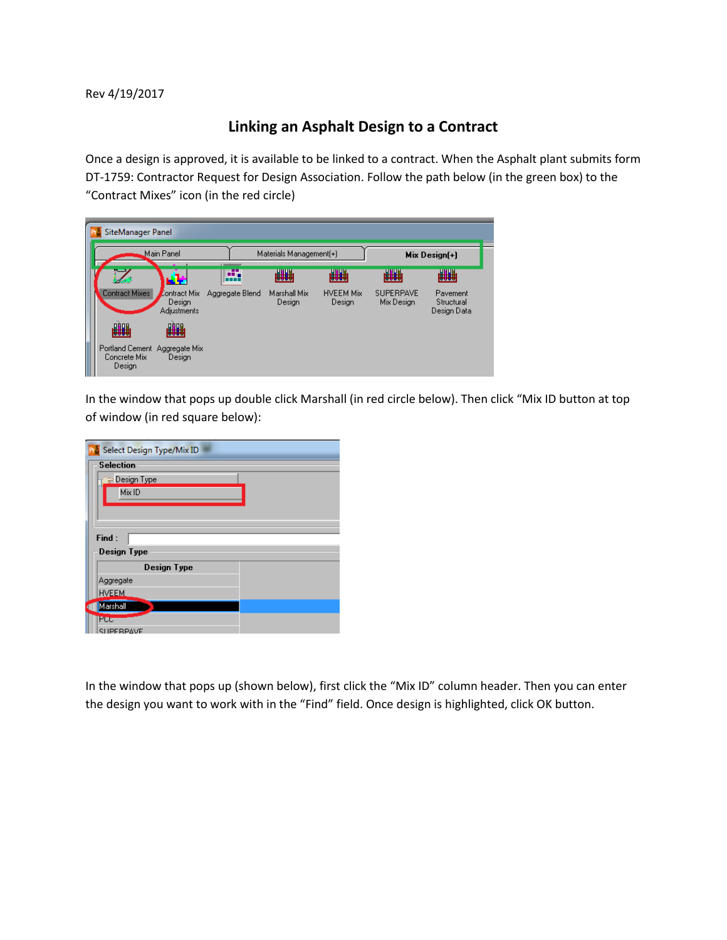Rev 4/19/2017

## **Linking an Asphalt Design to a Contract**

Once a design is approved, it is available to be linked to a contract. When the Asphalt plant submits form DT-1759: Contractor Request for Design Association. Follow the path below (in the green box) to the "Contract Mixes" icon (in the red circle)

| SiteManager Panel |                                                         |                                                     |                                                 |                        |                            |                                |                                       |  |  |  |  |
|-------------------|---------------------------------------------------------|-----------------------------------------------------|-------------------------------------------------|------------------------|----------------------------|--------------------------------|---------------------------------------|--|--|--|--|
|                   | Main Panel                                              |                                                     | Materials Management(+)<br><b>Communication</b> |                        |                            | $Mix Design[+]$                |                                       |  |  |  |  |
|                   |                                                         | مواليا                                              | æ<br>a a a is<br>                               | ₩₩                     | ₩₩                         | ₩₩                             | ₩₩                                    |  |  |  |  |
|                   | Contract Mixes                                          | <b>Contract Mix</b><br>Design<br><b>Adjustments</b> | Aggregate Blend                                 | Marshall Mix<br>Design | <b>HVEEM Mix</b><br>Design | <b>SUPERPAVE</b><br>Mix Design | Pavement<br>Structural<br>Design Data |  |  |  |  |
|                   | ₩₩                                                      | ₩₩                                                  |                                                 |                        |                            |                                |                                       |  |  |  |  |
|                   | Portland Cement Aggregate Mix<br>Concrete Mix<br>Design | Design                                              |                                                 |                        |                            |                                |                                       |  |  |  |  |

In the window that pops up double click Marshall (in red circle below). Then click "Mix ID button at top of window (in red square below):

| Select Design Type/Mix ID |  |  |  |  |  |  |  |  |  |
|---------------------------|--|--|--|--|--|--|--|--|--|
| <b>Selection</b>          |  |  |  |  |  |  |  |  |  |
| Design Type               |  |  |  |  |  |  |  |  |  |
| Mix ID                    |  |  |  |  |  |  |  |  |  |
|                           |  |  |  |  |  |  |  |  |  |
|                           |  |  |  |  |  |  |  |  |  |
| Find:                     |  |  |  |  |  |  |  |  |  |
| Design Type               |  |  |  |  |  |  |  |  |  |
| Design Type               |  |  |  |  |  |  |  |  |  |
| Aggregate                 |  |  |  |  |  |  |  |  |  |
| <b>HVEEM</b>              |  |  |  |  |  |  |  |  |  |
| Marshall                  |  |  |  |  |  |  |  |  |  |
| PCC                       |  |  |  |  |  |  |  |  |  |
| SHPERPAVE                 |  |  |  |  |  |  |  |  |  |

In the window that pops up (shown below), first click the "Mix ID" column header. Then you can enter the design you want to work with in the "Find" field. Once design is highlighted, click OK button.